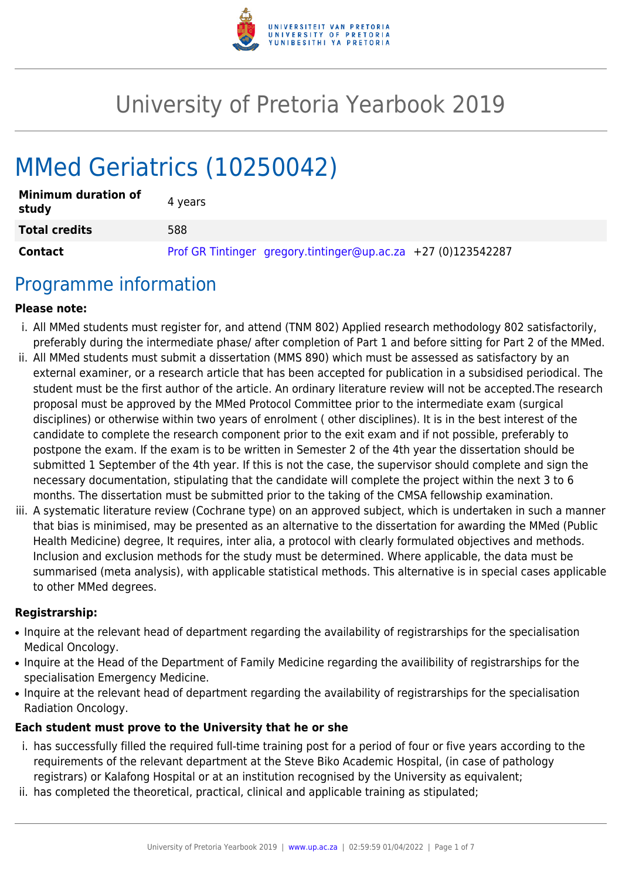

# University of Pretoria Yearbook 2019

# MMed Geriatrics (10250042)

| <b>Minimum duration of</b><br>study | 4 years                                                       |
|-------------------------------------|---------------------------------------------------------------|
| <b>Total credits</b>                | 588                                                           |
| Contact                             | Prof GR Tintinger gregory.tintinger@up.ac.za +27 (0)123542287 |

### Programme information

#### **Please note:**

- i. All MMed students must register for, and attend (TNM 802) Applied research methodology 802 satisfactorily, preferably during the intermediate phase/ after completion of Part 1 and before sitting for Part 2 of the MMed.
- ii. All MMed students must submit a dissertation (MMS 890) which must be assessed as satisfactory by an external examiner, or a research article that has been accepted for publication in a subsidised periodical. The student must be the first author of the article. An ordinary literature review will not be accepted.The research proposal must be approved by the MMed Protocol Committee prior to the intermediate exam (surgical disciplines) or otherwise within two years of enrolment ( other disciplines). It is in the best interest of the candidate to complete the research component prior to the exit exam and if not possible, preferably to postpone the exam. If the exam is to be written in Semester 2 of the 4th year the dissertation should be submitted 1 September of the 4th year. If this is not the case, the supervisor should complete and sign the necessary documentation, stipulating that the candidate will complete the project within the next 3 to 6 months. The dissertation must be submitted prior to the taking of the CMSA fellowship examination.
- iii. A systematic literature review (Cochrane type) on an approved subject, which is undertaken in such a manner that bias is minimised, may be presented as an alternative to the dissertation for awarding the MMed (Public Health Medicine) degree, It requires, inter alia, a protocol with clearly formulated objectives and methods. Inclusion and exclusion methods for the study must be determined. Where applicable, the data must be summarised (meta analysis), with applicable statistical methods. This alternative is in special cases applicable to other MMed degrees.

#### **Registrarship:**

- Inquire at the relevant head of department regarding the availability of registrarships for the specialisation Medical Oncology.
- Inquire at the Head of the Department of Family Medicine regarding the availibility of registrarships for the specialisation Emergency Medicine.
- Inquire at the relevant head of department regarding the availability of registrarships for the specialisation Radiation Oncology.

#### **Each student must prove to the University that he or she**

- i. has successfully filled the required full-time training post for a period of four or five years according to the requirements of the relevant department at the Steve Biko Academic Hospital, (in case of pathology registrars) or Kalafong Hospital or at an institution recognised by the University as equivalent;
- ii. has completed the theoretical, practical, clinical and applicable training as stipulated;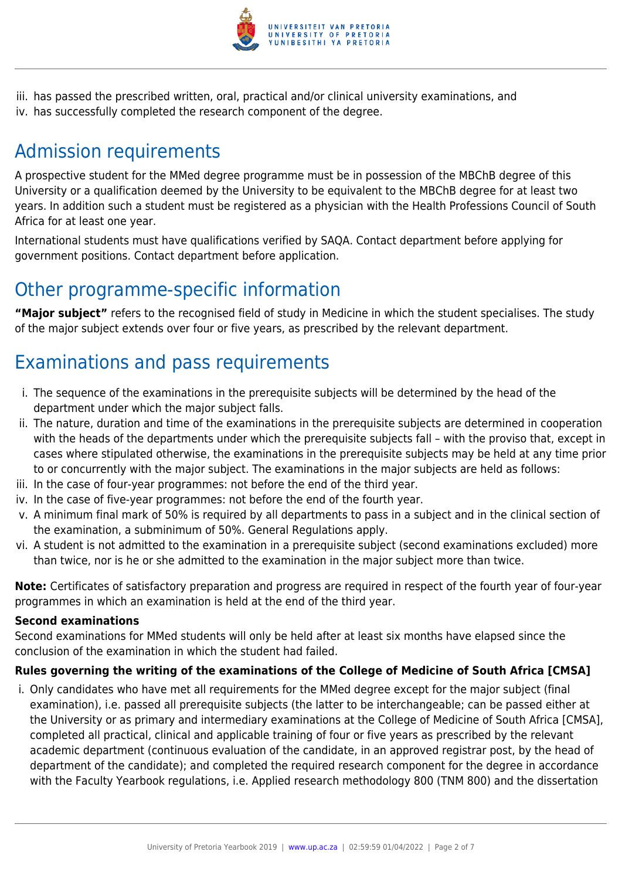

iii. has passed the prescribed written, oral, practical and/or clinical university examinations, and iv. has successfully completed the research component of the degree.

# Admission requirements

A prospective student for the MMed degree programme must be in possession of the MBChB degree of this University or a qualification deemed by the University to be equivalent to the MBChB degree for at least two years. In addition such a student must be registered as a physician with the Health Professions Council of South Africa for at least one year.

International students must have qualifications verified by SAQA. Contact department before applying for government positions. Contact department before application.

### Other programme-specific information

**"Major subject"** refers to the recognised field of study in Medicine in which the student specialises. The study of the major subject extends over four or five years, as prescribed by the relevant department.

# Examinations and pass requirements

- i. The sequence of the examinations in the prerequisite subjects will be determined by the head of the department under which the major subject falls.
- ii. The nature, duration and time of the examinations in the prerequisite subjects are determined in cooperation with the heads of the departments under which the prerequisite subjects fall – with the proviso that, except in cases where stipulated otherwise, the examinations in the prerequisite subjects may be held at any time prior to or concurrently with the major subject. The examinations in the major subjects are held as follows:
- iii. In the case of four-year programmes: not before the end of the third year.
- iv. In the case of five-year programmes: not before the end of the fourth year.
- v. A minimum final mark of 50% is required by all departments to pass in a subject and in the clinical section of the examination, a subminimum of 50%. General Regulations apply.
- vi. A student is not admitted to the examination in a prerequisite subject (second examinations excluded) more than twice, nor is he or she admitted to the examination in the major subject more than twice.

**Note:** Certificates of satisfactory preparation and progress are required in respect of the fourth year of four-year programmes in which an examination is held at the end of the third year.

#### **Second examinations**

Second examinations for MMed students will only be held after at least six months have elapsed since the conclusion of the examination in which the student had failed.

#### **Rules governing the writing of the examinations of the College of Medicine of South Africa [CMSA]**

i. Only candidates who have met all requirements for the MMed degree except for the major subject (final examination), i.e. passed all prerequisite subjects (the latter to be interchangeable; can be passed either at the University or as primary and intermediary examinations at the College of Medicine of South Africa [CMSA], completed all practical, clinical and applicable training of four or five years as prescribed by the relevant academic department (continuous evaluation of the candidate, in an approved registrar post, by the head of department of the candidate); and completed the required research component for the degree in accordance with the Faculty Yearbook regulations, i.e. Applied research methodology 800 (TNM 800) and the dissertation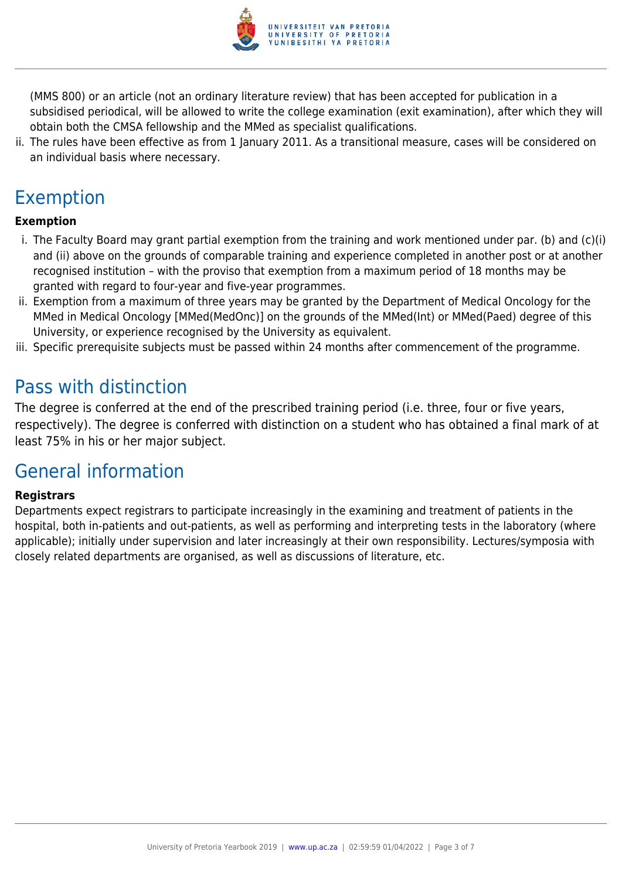

(MMS 800) or an article (not an ordinary literature review) that has been accepted for publication in a subsidised periodical, will be allowed to write the college examination (exit examination), after which they will obtain both the CMSA fellowship and the MMed as specialist qualifications.

ii. The rules have been effective as from 1 January 2011. As a transitional measure, cases will be considered on an individual basis where necessary.

# Exemption

#### **Exemption**

- i. The Faculty Board may grant partial exemption from the training and work mentioned under par. (b) and (c)(i) and (ii) above on the grounds of comparable training and experience completed in another post or at another recognised institution – with the proviso that exemption from a maximum period of 18 months may be granted with regard to four-year and five-year programmes.
- ii. Exemption from a maximum of three years may be granted by the Department of Medical Oncology for the MMed in Medical Oncology [MMed(MedOnc)] on the grounds of the MMed(Int) or MMed(Paed) degree of this University, or experience recognised by the University as equivalent.
- iii. Specific prerequisite subjects must be passed within 24 months after commencement of the programme.

### Pass with distinction

The degree is conferred at the end of the prescribed training period (i.e. three, four or five years, respectively). The degree is conferred with distinction on a student who has obtained a final mark of at least 75% in his or her major subject.

### General information

#### **Registrars**

Departments expect registrars to participate increasingly in the examining and treatment of patients in the hospital, both in-patients and out-patients, as well as performing and interpreting tests in the laboratory (where applicable); initially under supervision and later increasingly at their own responsibility. Lectures/symposia with closely related departments are organised, as well as discussions of literature, etc.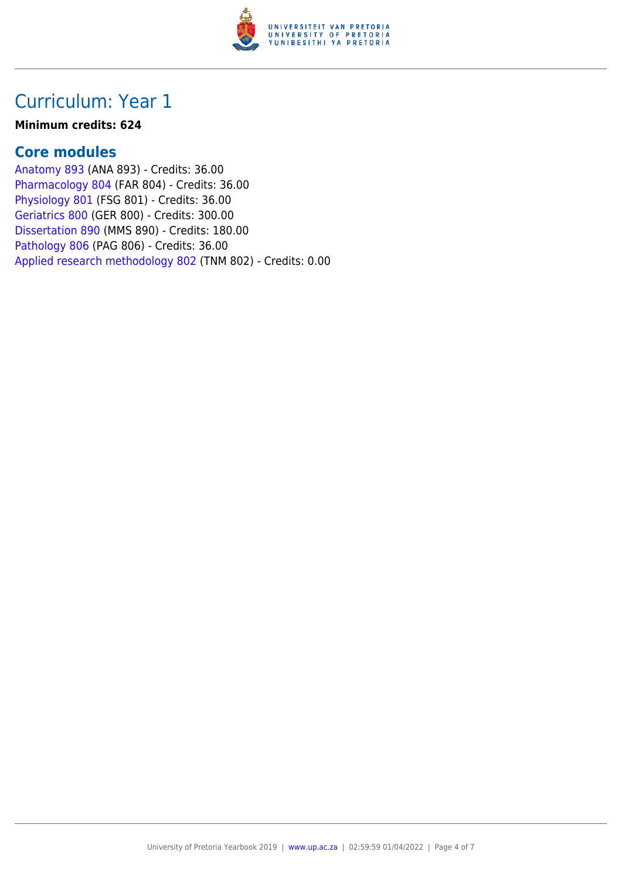

### Curriculum: Year 1

#### **Minimum credits: 624**

### **Core modules**

[Anatomy 893](https://www.up.ac.za/mechanical-and-aeronautical-engineering/yearbooks/2019/modules/view/ANA 893) (ANA 893) - Credits: 36.00 [Pharmacology 804](https://www.up.ac.za/mechanical-and-aeronautical-engineering/yearbooks/2019/modules/view/FAR 804) (FAR 804) - Credits: 36.00 [Physiology 801](https://www.up.ac.za/mechanical-and-aeronautical-engineering/yearbooks/2019/modules/view/FSG 801) (FSG 801) - Credits: 36.00 [Geriatrics 800](https://www.up.ac.za/mechanical-and-aeronautical-engineering/yearbooks/2019/modules/view/GER 800) (GER 800) - Credits: 300.00 [Dissertation 890](https://www.up.ac.za/mechanical-and-aeronautical-engineering/yearbooks/2019/modules/view/MMS 890) (MMS 890) - Credits: 180.00 [Pathology 806](https://www.up.ac.za/mechanical-and-aeronautical-engineering/yearbooks/2019/modules/view/PAG 806) (PAG 806) - Credits: 36.00 [Applied research methodology 802](https://www.up.ac.za/mechanical-and-aeronautical-engineering/yearbooks/2019/modules/view/TNM 802) (TNM 802) - Credits: 0.00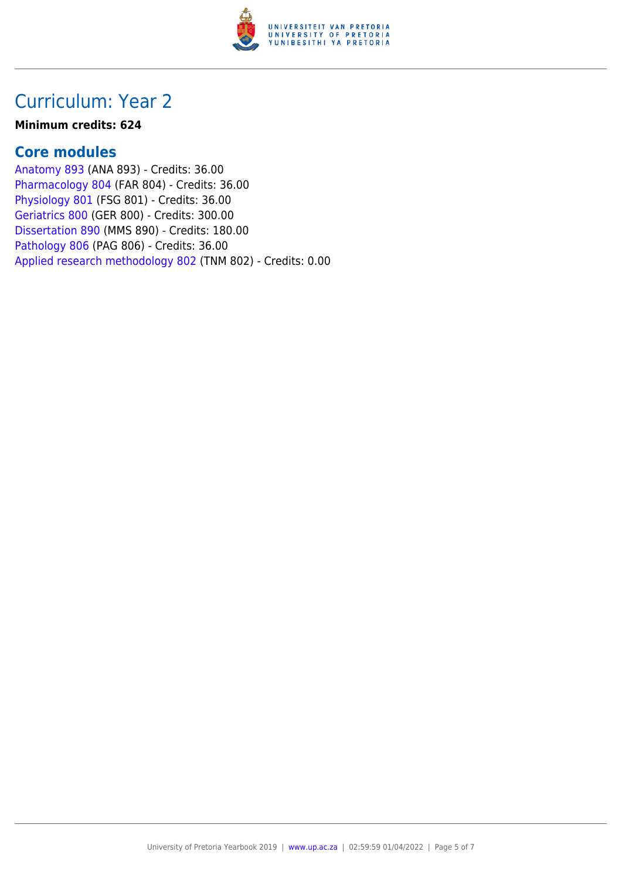

### Curriculum: Year 2

#### **Minimum credits: 624**

### **Core modules**

[Anatomy 893](https://www.up.ac.za/mechanical-and-aeronautical-engineering/yearbooks/2019/modules/view/ANA 893) (ANA 893) - Credits: 36.00 [Pharmacology 804](https://www.up.ac.za/mechanical-and-aeronautical-engineering/yearbooks/2019/modules/view/FAR 804) (FAR 804) - Credits: 36.00 [Physiology 801](https://www.up.ac.za/mechanical-and-aeronautical-engineering/yearbooks/2019/modules/view/FSG 801) (FSG 801) - Credits: 36.00 [Geriatrics 800](https://www.up.ac.za/mechanical-and-aeronautical-engineering/yearbooks/2019/modules/view/GER 800) (GER 800) - Credits: 300.00 [Dissertation 890](https://www.up.ac.za/mechanical-and-aeronautical-engineering/yearbooks/2019/modules/view/MMS 890) (MMS 890) - Credits: 180.00 [Pathology 806](https://www.up.ac.za/mechanical-and-aeronautical-engineering/yearbooks/2019/modules/view/PAG 806) (PAG 806) - Credits: 36.00 [Applied research methodology 802](https://www.up.ac.za/mechanical-and-aeronautical-engineering/yearbooks/2019/modules/view/TNM 802) (TNM 802) - Credits: 0.00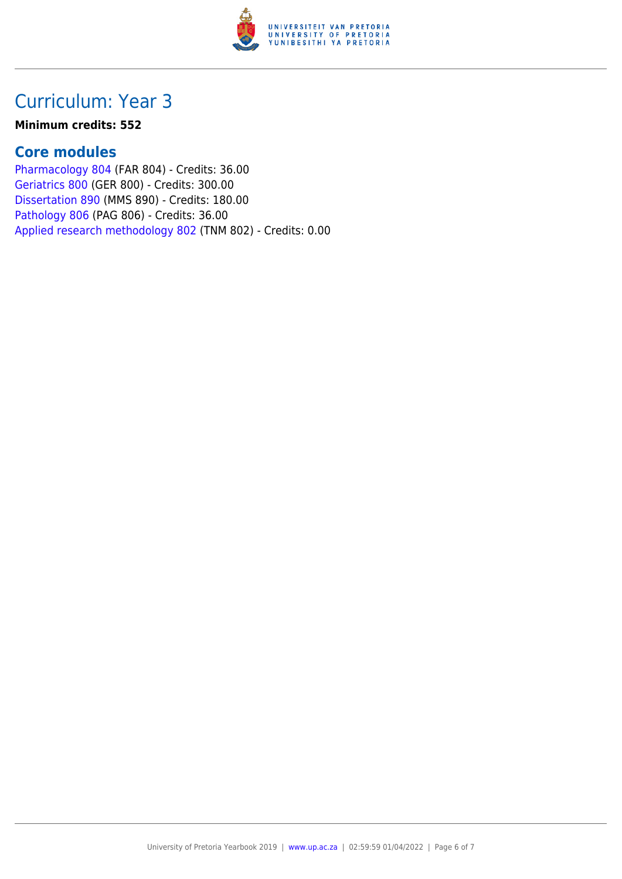

## Curriculum: Year 3

#### **Minimum credits: 552**

### **Core modules**

[Pharmacology 804](https://www.up.ac.za/mechanical-and-aeronautical-engineering/yearbooks/2019/modules/view/FAR 804) (FAR 804) - Credits: 36.00 [Geriatrics 800](https://www.up.ac.za/mechanical-and-aeronautical-engineering/yearbooks/2019/modules/view/GER 800) (GER 800) - Credits: 300.00 [Dissertation 890](https://www.up.ac.za/mechanical-and-aeronautical-engineering/yearbooks/2019/modules/view/MMS 890) (MMS 890) - Credits: 180.00 [Pathology 806](https://www.up.ac.za/mechanical-and-aeronautical-engineering/yearbooks/2019/modules/view/PAG 806) (PAG 806) - Credits: 36.00 [Applied research methodology 802](https://www.up.ac.za/mechanical-and-aeronautical-engineering/yearbooks/2019/modules/view/TNM 802) (TNM 802) - Credits: 0.00